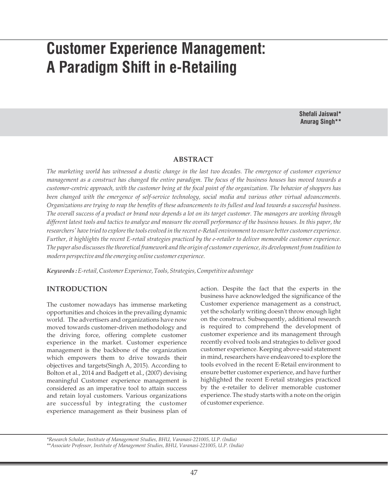# **Customer Experience Management: A Paradigm Shift in e-Retailing**

**Shefali Jaiswal\* Anurag Singh\*\***

#### **ABSTRACT**

*The marketing world has witnessed a drastic change in the last two decades. The emergence of customer experience management as a construct has changed the entire paradigm. The focus of the business houses has moved towards a customer-centric approach, with the customer being at the focal point of the organization. The behavior of shoppers has been changed with the emergence of self-service technology, social media and various other virtual advancements. Organizations are trying to reap the benefits of these advancements to its fullest and lead towards a successful business. The overall success of a product or brand now depends a lot on its target customer. The managers are working through different latest tools and tactics to analyze and measure the overall performance of the business houses. In this paper, the researchers' have tried to explore the tools evolved in the recent e-Retail environment to ensure better customer experience. Further, it highlights the recent E-retail strategies practiced by the e-retailer to deliver memorable customer experience. The paper also discusses the theoretical framework and the origin of customer experience, its development from tradition to modern perspective and the emerging online customer experience.*

*Keywords :E-retail, Customer Experience, Tools, Strategies, Competitive advantage*

# **INTRODUCTION**

The customer nowadays has immense marketing opportunities and choices in the prevailing dynamic world. The advertisers and organizations have now moved towards customer-driven methodology and the driving force, offering complete customer experience in the market. Customer experience management is the backbone of the organization which empowers them to drive towards their objectives and targets(Singh A, 2015). According to Bolton et al., 2014 and Badgett et al., (2007) devising meaningful Customer experience management is considered as an imperative tool to attain success and retain loyal customers. Various organizations are successful by integrating the customer experience management as their business plan of

action. Despite the fact that the experts in the business have acknowledged the significance of the Customer experience management as a construct, yet the scholarly writing doesn't throw enough light on the construct. Subsequently, additional research is required to comprehend the development of customer experience and its management through recently evolved tools and strategies to deliver good customer experience. Keeping above-said statement in mind, researchers have endeavored to explore the tools evolved in the recent E-Retail environment to ensure better customer experience, and have further highlighted the recent E-retail strategies practiced by the e-retailer to deliver memorable customer experience. The study starts with a note on the origin of customer experience.

*\*Research Scholar, Institute of Management Studies, BHU, Varanasi-221005, U.P. (India)*

*\*\*Associate Professor, Institute of Management Studies, BHU, Varanasi-221005, U.P. (India)*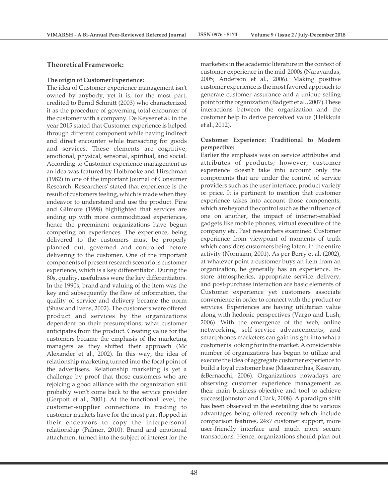### **Theoretical Framework:**

#### **The origin of Customer Experience:**

The idea of Customer experience management isn't owned by anybody, yet it is, for the most part, credited to Bernd Schmitt (2003) who characterized it as the procedure of governing total encounter of the customer with a company. De Keyser et al. in the year 2015 stated that Customer experience is helped through different component while having indirect and direct encounter while transacting for goods and services. These elements are cognitive, emotional, physical, sensorial, spiritual, and social. According to Customer experience management as an idea was featured by Holbrooke and Hirschman (1982) in one of the important Journal of Consumer Research. Researchers' stated that experience is the result of customers feeling, which is made when they endeavor to understand and use the product. Pine and Gilmore (1998) highlighted that services are ending up with more commoditized experiences, hence the preeminent organizations have begun competing on experiences. The experience, being delivered to the customers must be properly planned out, governed and controlled before delivering to the customer. One of the important components of present research scenario is customer experience, which is a key differentiator. During the 80s, quality, usefulness were the key differentiators. In the 1990s, brand and valuing of the item was the key and subsequently the flow of information, the quality of service and delivery became the norm (Shaw and Ivens, 2002). The customers were offered product and services by the organizations dependent on their presumptions; what customer anticipates from the product. Creating value for the customers became the emphasis of the marketing managers as they shifted their approach (Mc Alexander et al., 2002). In this way, the idea of relationship marketing turned into the focal point of the advertisers. Relationship marketing is yet a challenge by proof that those customers who are rejoicing a good alliance with the organization still probably won't come back to the service provider (Gerpott et al., 2001). At the functional level, the customer-supplier connections in trading to customer markets have for the most part flopped in their endeavors to copy the interpersonal relationship (Palmer, 2010). Brand and emotional attachment turned into the subject of interest for the

marketers in the academic literature in the context of customer experience in the mid-2000s (Narayandas, 2005; Anderson et al., 2006). Making positive customer experience is the most favored approach to generate customer assurance and a unique selling point for the organization (Badgett et al., 2007).These interactions between the organization and the customer help to derive perceived value (Helkkula et al., 2012).

#### **Customer Experience: Traditional to Modern perspective:**

Earlier the emphasis was on service attributes and attributes of products; however, customer experience doesn't take into account only the components that are under the control of service providers such as the user interface, product variety or price. It is pertinent to mention that customer experience takes into account those components, which are beyond the control such as the influence of one on another, the impact of internet-enabled gadgets like mobile phones, virtual executive of the company etc. Past researchers examined Customer experience from viewpoint of moments of truth which considers customers being latent in the entire activity (Normann, 2001). As per Berry et al. (2002), at whatever point a customer buys an item from an organization, he generally has an experience. Instore atmospherics, appropriate service delivery, and post-purchase interaction are basic elements of Customer experience yet customers associate convenience in order to connect with the product or services. Experiences are having utilitarian value along with hedonic perspectives (Vargo and Lush, 2006). With the emergence of the web, online networking, self-service advancements, and smartphones marketers can gain insight into what a customer is looking for in the market. A considerable number of organizations has begun to utilize and execute the idea of aggregate customer experience to build a loyal customer base (Mascarenhas, Kesavan, &Bernacchi, 2006). Organizations nowadays are observing customer experience management as their main business objective and tool to achieve success(Johnston and Clark, 2008). A paradigm shift has been observed in the e-retailing due to various advantages being offered recently which include comparison features, 24x7 customer support, more user-friendly interface and much more secure transactions. Hence, organizations should plan out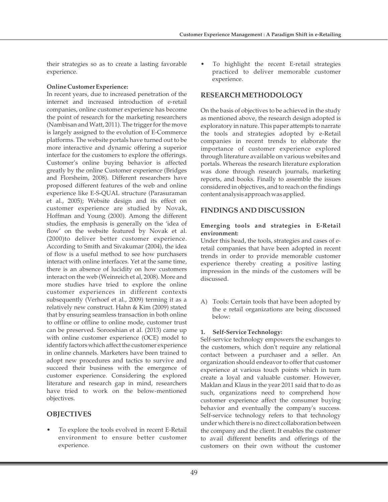their strategies so as to create a lasting favorable experience.

## **Online Customer Experience:**

In recent years, due to increased penetration of the internet and increased introduction of e-retail companies, online customer experience has become the point of research for the marketing researchers (Nambisan and Watt, 2011). The trigger for the move is largely assigned to the evolution of E-Commerce platforms. The website portals have turned out to be more interactive and dynamic offering a superior interface for the customers to explore the offerings. Customer's online buying behavior is affected greatly by the online Customer experience (Bridges and Florsheim, 2008). Different researchers have proposed different features of the web and online experience like E-S-QUAL structure (Parasuraman et al., 2005); Website design and its effect on customer experience are studied by Novak, Hoffman and Young (2000). Among the different studies, the emphasis is generally on the 'idea of flow' on the website featured by Novak et al. (2000)to deliver better customer experience. According to Smith and Sivakumar (2004), the idea of flow is a useful method to see how purchasers interact with online interfaces. Yet at the same time, there is an absence of lucidity on how customers interact on the web (Weinreich et al, 2008). More and more studies have tried to explore the online customer experiences in different contexts subsequently (Verhoef et al., 2009) terming it as a relatively new construct. Hahn & Kim (2009) stated that by ensuring seamless transaction in both online to offline or offline to online mode, customer trust can be preserved. Sorooshian et al. (2013) came up with online customer experience (OCE) model to identify factors which affect the customer experience in online channels. Marketers have been trained to adopt new procedures and tactics to survive and succeed their business with the emergence of customer experience. Considering the explored literature and research gap in mind, researchers have tried to work on the below-mentioned objectives.

# **OBJECTIVES**

To explore the tools evolved in recent E-Retail environment to ensure better customer experience.

To highlight the recent E-retail strategies practiced to deliver memorable customer experience.

# **RESEARCH METHODOLOGY**

On the basis of objectives to be achieved in the study as mentioned above, the research design adopted is exploratory in nature. This paper attempts to narrate the tools and strategies adopted by e-Retail companies in recent trends to elaborate the importance of customer experience explored through literature available on various websites and portals. Whereas the research literature exploration was done through research journals, marketing reports, and books. Finally to assemble the issues considered in objectives, and to reach on the findings content analysis approach was applied.

# **FINDINGS AND DISCUSSION**

#### **Emerging tools and strategies in E-Retail environment:**

Under this head, the tools, strategies and cases of eretail companies that have been adopted in recent trends in order to provide memorable customer experience thereby creating a positive lasting impression in the minds of the customers will be discussed.

A) Tools: Certain tools that have been adopted by the e retail organizations are being discussed below:

# **1. Self-Service Technology:**

Self-service technology empowers the exchanges to the customers, which don't require any relational contact between a purchaser and a seller. An organization should endeavor to offer that customer experience at various touch points which in turn create a loyal and valuable customer. However, Maklan and Klaus in the year 2011 said that to do as such, organizations need to comprehend how customer experience affect the consumer buying behavior and eventually the company's success. Self-service technology refers to that technology under which there is no direct collaboration between the company and the client. It enables the customer to avail different benefits and offerings of the customers on their own without the customer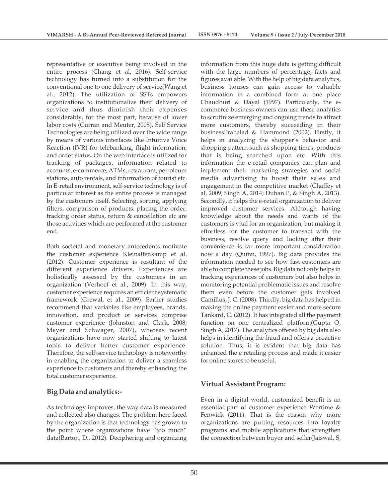representative or executive being involved in the entire process (Chang et al, 2016). Self-service technology has turned into a substitution for the conventional one to one delivery of service(Wang et al., 2012). The utilization of SSTs empowers organizations to institutionalize their delivery of service and thus diminish their expenses considerably, for the most part, because of lower labor costs (Curran and Meuter, 2005). Self Service Technologies are being utilized over the wide range by means of various interfaces like Intuitive Voice Reaction (IVR) for telebanking, flight information, and order status. On the web interface is utilized for tracking of packages, information related to accounts, e-commerce, ATMs, restaurant, petroleum stations, auto rentals, and information of tourist etc. In E-retail environment, self-service technology is of particular interest as the entire process is managed by the customers itself. Selecting, sorting, applying filters, comparison of products, placing the order, tracking order status, return & cancellation etc are those activities which are performed at the customer end.

Both societal and monetary antecedents motivate the customer experience Kleinaltenkamp et al. (2012). Customer experience is resultant of the different experience drivers. Experiences are holistically assessed by the customers in an organization (Verhoef et al., 2009). In this way, customer experience requires an efficient systematic framework (Grewal, et al., 2009). Earlier studies recommend that variables like employees, brands, innovation, and product or services comprise customer experience (Johnston and Clark, 2008; Meyer and Schwager, 2007), whereas recent organizations have now started shifting to latest tools to deliver better customer experience. Therefore, the self-service technology is noteworthy in enabling the organization to deliver a seamless experience to customers and thereby enhancing the total customer experience.

# **Big Data and analytics:-**

As technology improves, the way data is measured and collected also changes. The problem here faced by the organization is that technology has grown to the point where organizations have "too much" data(Barton, D., 2012). Deciphering and organizing information from this huge data is getting difficult with the large numbers of percentage, facts and figures available. With the help of big data analytics, business houses can gain access to valuable information in a combined form at one place Chaudhuri & Dayal (1997). Particularly, the ecommerce business owners can use these analytics to scrutinize emerging and ongoing trends to attract more customers, thereby succeeding in their businessPrahalad & Hammond (2002). Firstly, it helps in analyzing the shopper's behavior and shopping pattern such as shopping times, products that is being searched upon etc. With this information the e-retail companies can plan and implement their marketing strategies and social media advertising to boost their sales and engagement in the competitive market (Chaffey et al, 2009; Singh A, 2014; Duhan P, & Singh A, 2013). Secondly, it helps the e-retail organization to deliver improved customer services. Although having knowledge about the needs and wants of the customers is vital for an organization, but making it effortless for the customer to transact with the business, resolve query and looking after their convenience is far more important consideration now a day (Quinn, 1997). Big data provides the information needed to see how fast customers are able to complete these jobs. Big data not only helps in tracking experiences of customers but also helps in monitoring potential problematic issues and resolve them even before the customer gets involved Camillus, J. C. (2008). Thirdly, big data has helped in making the online payment easier and more secure Tankard, C. (2012). It has integrated all the payment function on one centralized platform(Gupta O, Singh A, 2017). The analytics offered by big data also helps in identifying the fraud and offers a proactive solution. Thus, it is evident that big data has enhanced the e retailing process and made it easier for online stores to be useful.

# **Virtual Assistant Program:**

Even in a digital world, customized benefit is an essential part of customer experience Wertime & Fenwick (2011). That is the reason why more organizations are putting resources into loyalty programs and mobile applications that strengthen the connection between buyer and seller(Jaiswal, S,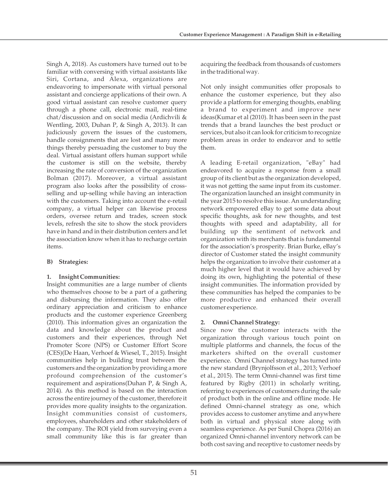Singh A, 2018). As customers have turned out to be familiar with conversing with virtual assistants like Siri, Cortana, and Alexa, organizations are endeavoring to impersonate with virtual personal assistant and concierge applications of their own. A good virtual assistant can resolve customer query through a phone call, electronic mail, real-time chat/discussion and on social media (Ardichvili & Wentling, 2003, Duhan P, & Singh A, 2013). It can judiciously govern the issues of the customers, handle consignments that are lost and many more things thereby persuading the customer to buy the deal. Virtual assistant offers human support while the customer is still on the website, thereby increasing the rate of conversion of the organization Bolman (2017). Moreover, a virtual assistant program also looks after the possibility of crossselling and up-selling while having an interaction with the customers. Taking into account the e-retail company, a virtual helper can likewise process orders, oversee return and trades, screen stock levels, refresh the site to show the stock providers have in hand and in their distribution centers and let the association know when it has to recharge certain items.

# **B) Strategies:**

# **1. Insight Communities:**

Insight communities are a large number of clients who themselves choose to be a part of a gathering and disbursing the information. They also offer ordinary appreciation and criticism to enhance products and the customer experience Greenberg (2010). This information gives an organization the data and knowledge about the product and customers and their experiences, through Net Promoter Score (NPS) or Customer Effort Score (CES)(De Haan, Verhoef & Wiesel, T., 2015). Insight communities help in building trust between the customers and the organization by providing a more profound comprehension of the customer's requirement and aspirations(Duhan P, & Singh A, 2014). As this method is based on the interaction across the entire journey of the customer, therefore it provides more quality insights to the organization. Insight communities consist of customers, employees, shareholders and other stakeholders of the company. The ROI yield from surveying even a small community like this is far greater than

acquiring the feedback from thousands of customers in the traditional way.

Not only insight communities offer proposals to enhance the customer experience, but they also provide a platform for emerging thoughts, enabling a brand to experiment and improve new ideas(Kumar et al (2010). It has been seen in the past trends that a brand launches the best product or services, but also it can look for criticism to recognize problem areas in order to endeavor and to settle them.

A leading E-retail organization, "eBay" had endeavored to acquire a response from a small group of its client but as the organization developed, it was not getting the same input from its customer. The organization launched an insight community in the year 2015 to resolve this issue. An understanding network empowered eBay to get some data about specific thoughts, ask for new thoughts, and test thoughts with speed and adaptability, all for building up the sentiment of network and organization with its merchants that is fundamental for the association's prosperity. Brian Burke, eBay's director of Customer stated the insight community helps the organization to involve their customer at a much higher level that it would have achieved by doing its own, highlighting the potential of these insight communities. The information provided by these communities has helped the companies to be more productive and enhanced their overall customer experience.

# **2. Omni Channel Strategy:**

Since now the customer interacts with the organization through various touch point on multiple platforms and channels, the focus of the marketers shifted on the overall customer experience. Omni Channel strategy has turned into the new standard (Brynjolfsson et al., 2013; Verhoef et al., 2015). The term Omni-channel was first time featured by Rigby (2011) in scholarly writing, referring to experiences of customers during the sale of product both in the online and offline mode. He defined Omni-channel strategy as one, which provides access to customer anytime and anywhere both in virtual and physical store along with seamless experience. As per Sunil Chopra (2016) an organized Omni-channel inventory network can be both cost saving and receptive to customer needs by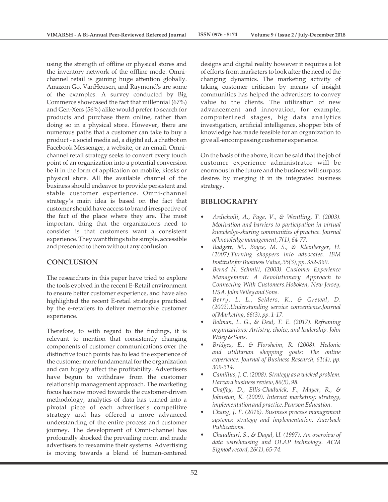using the strength of offline or physical stores and the inventory network of the offline mode. Omnichannel retail is gaining huge attention globally. Amazon Go, VanHeusen, and Raymond's are some of the examples. A survey conducted by Big Commerce showcased the fact that millennial (67%) and Gen-Xers (56%) alike would prefer to search for products and purchase them online, rather than doing so in a physical store. However, there are numerous paths that a customer can take to buy a product - a social media ad, a digital ad, a chatbot on Facebook Messenger, a website, or an email. Omnichannel retail strategy seeks to convert every touch point of an organization into a potential conversion be it in the form of application on mobile, kiosks or physical store. All the available channel of the business should endeavor to provide persistent and stable customer experience. Omni-channel strategy's main idea is based on the fact that customer should have access to brand irrespective of the fact of the place where they are. The most important thing that the organizations need to consider is that customers want a consistent experience. They want things to be simple, accessible and presented to them without any confusion.

# **CONCLUSION**

The researchers in this paper have tried to explore the tools evolved in the recent E-Retail environment to ensure better customer experience, and have also highlighted the recent E-retail strategies practiced by the e-retailers to deliver memorable customer experience.

Therefore, to with regard to the findings, it is relevant to mention that consistently changing components of customer communications over the distinctive touch points has to lead the experience of the customer more fundamental for the organization and can hugely affect the profitability. Advertisers have begun to withdraw from the customer relationship management approach. The marketing focus has now moved towards the customer-driven methodology, analytics of data has turned into a pivotal piece of each advertiser's competitive strategy and has offered a more advanced understanding of the entire process and customer journey. The development of Omni-channel has profoundly shocked the prevailing norm and made advertisers to reexamine their systems. Advertising is moving towards a blend of human-centered

designs and digital reality however it requires a lot of efforts from marketers to look after the need of the changing dynamics. The marketing activity of taking customer criticism by means of insight communities has helped the advertisers to convey value to the clients. The utilization of new advancement and innovation, for example, computerized stages, big data analytics investigation, artificial intelligence, shopper bits of knowledge has made feasible for an organization to give all-encompassing customer experience.

On the basis of the above, it can be said that the job of customer experience administrator will be enormous in the future and the business will surpass desires by merging it in its integrated business strategy.

# **BIBLIOGRAPHY**

- *Ardichvili, A., Page, V., & Wentling, T. (2003). Motivation and barriers to participation in virtual knowledge-sharing communities of practice. Journal of knowledge management, 7(1), 64-77.*
- *Badgett, M., Boyce, M. S., & Kleinberger, H. (2007).Turning shoppers into advocates. IBM Institute for Business Value, 35(3), pp. 352-369.*
- *Bernd H. Schmitt, (2003). Customer Experience Management: A Revolutionary Approach to Connecting With Customers.Hoboken, New Jersey, USA. John Wiley and Sons.*
- *Berry, L. L., Seiders, K., & Grewal, D. (2002).Understanding service convenience.Journal of Marketing, 66(3), pp. 1-17.*
- *Bolman, L. G., & Deal, T. E. (2017). Reframing organizations: Artistry, choice, and leadership. John Wiley & Sons.*
- *Bridges, E., & Florsheim, R. (2008). Hedonic and utilitarian shopping goals: The online experience. Journal of Business Research, 61(4), pp. 309-314.*
- *Camillus, J. C. (2008). Strategy as a wicked problem. Harvard business review, 86(5), 98.*
- *Chaffey, D., Ellis-Chadwick, F., Mayer, R., & Johnston, K. (2009). Internet marketing: strategy, implementation and practice. Pearson Education.*
- *Chang, J. F. (2016). Business process management systems: strategy and implementation. Auerbach Publications.*
- *Chaudhuri, S., & Dayal, U. (1997). An overview of data warehousing and OLAP technology. ACM Sigmod record, 26(1), 65-74.*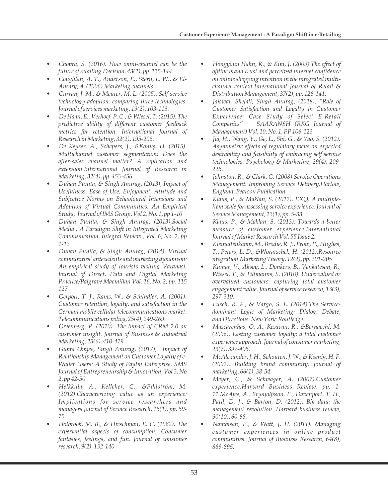- *Chopra, S. (2016). How omni-channel can be the future of retailing.Decision, 43(2), pp. 135-144.*
- *Coughlan, A. T., Anderson, E., Stern, L. W., & El-Ansary, A. (2006).Marketing channels.*
- *Curran, J. M., & Meuter, M. L. (2005). Self-service technology adoption: comparing three technologies. Journal of services marketing, 19(2), 103-113.*
- *De Haan, E., Verhoef, P. C., & Wiesel, T. (2015). The predictive ability of different customer feedback metrics for retention. International Journal of Research in Marketing, 32(2), 195-206.*
- *De Keyser, A., Schepers, J., &Konuş, U. (2015). Multichannel customer segmentation: Does the after-sales channel matter? A replication and extension.International Journal of Research in Marketing, 32(4), pp. 453-456.*
- *Duhan Punita, & Singh Anurag, (2013), Impact of Usefulness, Ease of Use, Enjoyment, Attitude and Subjective Norms on Behavioural Intensions and Adoption of Virtual Communities: An Empirical Study, Journal of IMS Group, Vol 2, No. 1, pp 1-10*
- *Duhan Punita, & Singh Anurag, (2013),Social Media : A Paradigm Shift in Integrated Marketing Communication, Integral Review , Vol. 6, No. 2, pp 1-12*
- *Duhan Punita, & Singh Anurag, (2014), Virtual communities' antecedents and marketing dynamism: An empirical study of tourists visiting Varanasi, Journal of Direct, Data and Digital Marketing Practice/Palgrave Macmillan Vol. 16, No. 2, pp. 115 127*
- *Gerpott, T. J., Rams, W., & Schindler, A. (2001). Customer retention, loyalty, and satisfaction in the German mobile cellular telecommunications market. Telecommunications policy, 25(4), 249-269.*
- *Greenberg, P. (2010). The impact of CRM 2.0 on customer insight. Journal of Business & Industrial Marketing, 25(6), 410-419.*
- *Gupta Omjee, Singh Anurag, (2017), Impact of Relationship Management on Customer Loyalty of e-Wallet Users: A Study of Paytm Enterprise, SMS Journal of Entrepreneurship & Innovation, Vol 3, No 2, pp 42-50*
- *Helkkula, A., Kelleher, C., &Pihlström, M. (2012).Characterizing value as an experience: Implications for service researchers and managers.Journal of Service Research, 15(1), pp. 59- 75*
- *Holbrook, M. B., & Hirschman, E. C. (1982). The experiential aspects of consumption: Consumer*  fantasies, feelings, and fun. Journal of consumer *research, 9(2), 132-140.*
- *Hongyoun Hahn, K., & Kim, J. (2009).The effect of offline brand trust and perceived internet confidence on online shopping intention in the integrated multichannel context.International Journal of Retail & Distribution Management, 37(2), pp. 126-141.*
- *Jaiswal, Shefali, Singh Anurag, (2018), "Role of Customer Satisfaction and Loyalty in Customer Experience: Case Study of Select E-Retail Companies" SAARANSH (RKG Journal of Management) Vol. 10, No. 1, PP 106-123*
- *Jia, H., Wang, Y., Ge, L., Shi, G., & Yao, S. (2012). Asymmetric effects of regulatory focus on expected desirability and feasibility of embracing self***‐***service technologies. Psychology & Marketing, 29(4), 209- 225.*
- *Johnston, R., & Clark, G. (2008).Service Operations Management: Improving Service Delivery.Harlow, England. Pearson Publication*
- *Klaus, P., & Maklan, S. (2012). EXQ: A multipleitem scale for assessing service experience. Journal of Service Management, 23(1), pp. 5-33.*
- *Klaus, P., & Maklan, S. (2013). Towards a better measure of customer experience.International Journal of Market Research Vol. 55 Issue 2.*
- *Kleinaltenkamp, M., Brodie, R. J., Frow, P., Hughes, T., Peters, L. D., &Woratschek, H. (2012).Resource ntegration.Marketing Theory, 12(2), pp. 201-205*
- *Kumar, V., Aksoy, L., Donkers, B., Venkatesan, R., Wiesel, T., & Tillmanns, S. (2010). Undervalued or overvalued customers: capturing total customer engagement value. Journal of service research, 13(3), 297-310.*
- *Lusch, R. F., & Vargo, S. L. (2014).The Servicedominant Logic of Marketing: Dialog, Debate, and Directions .New York: Routledge.*
- *Mascarenhas, O. A., Kesavan, R., &Bernacchi, M. (2006). Lasting customer loyalty: a total customer experience approach. Journal of consumer marketing, 23(7), 397-405.*
- *McAlexander, J. H., Schouten, J. W., & Koenig, H. F. (2002). Building brand community. Journal of marketing, 66(1), 38-54.*
- *Meyer, C., & Schwager, A. (2007).Customer experience.Harvard Business Review, pp. 1- 11.McAfee, A., Brynjolfsson, E., Davenport, T. H., Patil, D. J., & Barton, D. (2012). Big data: the management revolution. Harvard business review, 90(10), 60-68.*
- *Nambisan, P., & Watt, J. H. (2011). Managing customer experiences in online product communities. Journal of Business Research, 64(8), 889-895.*